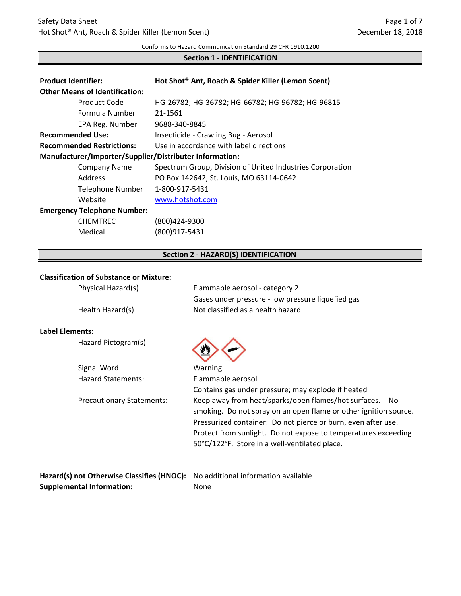Conforms to Hazard Communication Standard 29 CFR 1910.1200

## **Section 1 - IDENTIFICATION**

| <b>Product Identifier:</b>                              | Hot Shot® Ant, Roach & Spider Killer (Lemon Scent)        |  |
|---------------------------------------------------------|-----------------------------------------------------------|--|
| <b>Other Means of Identification:</b>                   |                                                           |  |
| Product Code                                            | HG-26782; HG-36782; HG-66782; HG-96782; HG-96815          |  |
| Formula Number                                          | 21-1561                                                   |  |
| EPA Reg. Number                                         | 9688-340-8845                                             |  |
| <b>Recommended Use:</b>                                 | Insecticide - Crawling Bug - Aerosol                      |  |
| <b>Recommended Restrictions:</b>                        | Use in accordance with label directions                   |  |
| Manufacturer/Importer/Supplier/Distributer Information: |                                                           |  |
| <b>Company Name</b>                                     | Spectrum Group, Division of United Industries Corporation |  |
| Address                                                 | PO Box 142642, St. Louis, MO 63114-0642                   |  |
| Telephone Number                                        | 1-800-917-5431                                            |  |
| Website                                                 | www.hotshot.com                                           |  |
| <b>Emergency Telephone Number:</b>                      |                                                           |  |
| <b>CHEMTREC</b>                                         | (800)424-9300                                             |  |
| Medical                                                 | (800)917-5431                                             |  |

### **Section 2 - HAZARD(S) IDENTIFICATION**

#### **Classification of Substance or Mixture:**

| Physical Hazard(s) | Flammable aerosol - category 2                    |  |
|--------------------|---------------------------------------------------|--|
|                    | Gases under pressure - low pressure liquefied gas |  |
| Health Hazard(s)   | Not classified as a health hazard                 |  |

## **Label Elements:**

Hazard Pictogram(s)



| Signal Word                      | Warning                                                          |
|----------------------------------|------------------------------------------------------------------|
| <b>Hazard Statements:</b>        | Flammable aerosol                                                |
|                                  | Contains gas under pressure; may explode if heated               |
| <b>Precautionary Statements:</b> | Keep away from heat/sparks/open flames/hot surfaces. - No        |
|                                  | smoking. Do not spray on an open flame or other ignition source. |
|                                  | Pressurized container: Do not pierce or burn, even after use.    |
|                                  | Protect from sunlight. Do not expose to temperatures exceeding   |
|                                  | 50°C/122°F. Store in a well-ventilated place.                    |
|                                  |                                                                  |
|                                  |                                                                  |

| Hazard(s) not Otherwise Classifies (HNOC): No additional information available |      |
|--------------------------------------------------------------------------------|------|
| <b>Supplemental Information:</b>                                               | None |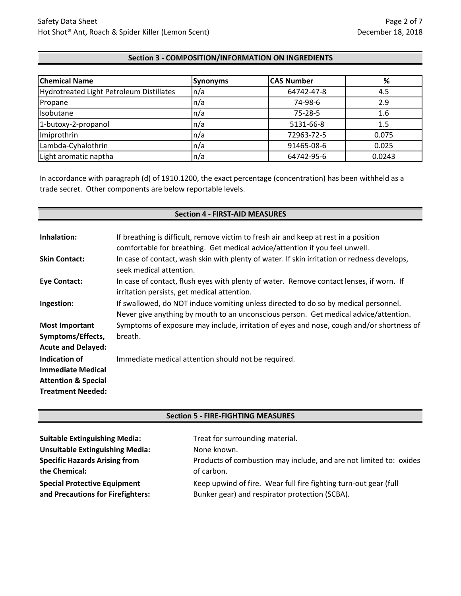## **Section 3 - COMPOSITION/INFORMATION ON INGREDIENTS**

| <b>Chemical Name</b>                     | <b>Synonyms</b>          | <b>CAS Number</b> | %      |
|------------------------------------------|--------------------------|-------------------|--------|
| Hydrotreated Light Petroleum Distillates | $\ln/a$                  | 64742-47-8        | 4.5    |
| Propane                                  | $\ln/a$                  | 74-98-6           | 2.9    |
| Isobutane                                | $\mathsf{In}/\mathsf{a}$ | $75 - 28 - 5$     | 1.6    |
| 1-butoxy-2-propanol                      | $\mathsf{In}/\mathsf{a}$ | 5131-66-8         | 1.5    |
| Imiprothrin                              | $\mathsf{In}/\mathsf{a}$ | 72963-72-5        | 0.075  |
| Lambda-Cyhalothrin                       | $\mathsf{In}/\mathsf{a}$ | 91465-08-6        | 0.025  |
| Light aromatic naptha                    | n/a                      | 64742-95-6        | 0.0243 |

In accordance with paragraph (d) of 1910.1200, the exact percentage (concentration) has been withheld as a trade secret. Other components are below reportable levels.

# **Section 4 - FIRST-AID MEASURES**

| Inhalation:                                                                                             | If breathing is difficult, remove victim to fresh air and keep at rest in a position<br>comfortable for breathing. Get medical advice/attention if you feel unwell.         |
|---------------------------------------------------------------------------------------------------------|-----------------------------------------------------------------------------------------------------------------------------------------------------------------------------|
| <b>Skin Contact:</b>                                                                                    | In case of contact, wash skin with plenty of water. If skin irritation or redness develops,<br>seek medical attention.                                                      |
| <b>Eye Contact:</b>                                                                                     | In case of contact, flush eyes with plenty of water. Remove contact lenses, if worn. If<br>irritation persists, get medical attention.                                      |
| Ingestion:                                                                                              | If swallowed, do NOT induce vomiting unless directed to do so by medical personnel.<br>Never give anything by mouth to an unconscious person. Get medical advice/attention. |
| <b>Most Important</b><br>Symptoms/Effects,<br><b>Acute and Delayed:</b>                                 | Symptoms of exposure may include, irritation of eyes and nose, cough and/or shortness of<br>breath.                                                                         |
| Indication of<br><b>Immediate Medical</b><br><b>Attention &amp; Special</b><br><b>Treatment Needed:</b> | Immediate medical attention should not be required.                                                                                                                         |

## **Section 5 - FIRE-FIGHTING MEASURES**

| <b>Suitable Extinguishing Media:</b>                                     | Treat for surrounding material.                                                                                    |
|--------------------------------------------------------------------------|--------------------------------------------------------------------------------------------------------------------|
| <b>Unsuitable Extinguishing Media:</b>                                   | None known.                                                                                                        |
| <b>Specific Hazards Arising from</b>                                     | Products of combustion may include, and are not limited to: oxides                                                 |
| the Chemical:                                                            | of carbon.                                                                                                         |
| <b>Special Protective Equipment</b><br>and Precautions for Firefighters: | Keep upwind of fire. Wear full fire fighting turn-out gear (full<br>Bunker gear) and respirator protection (SCBA). |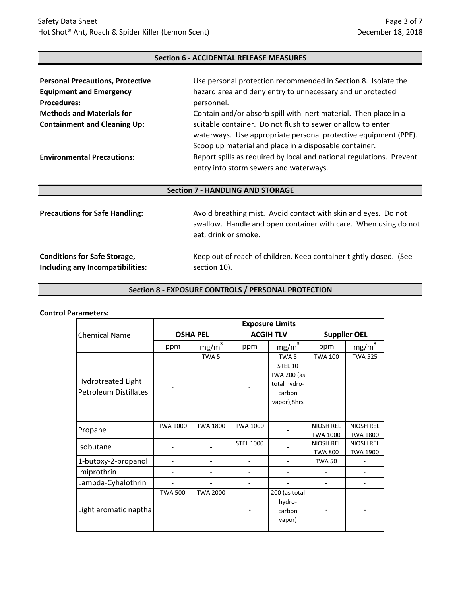## **Section 6 - ACCIDENTAL RELEASE MEASURES**

| <b>Personal Precautions, Protective</b> | Use personal protection recommended in Section 8. Isolate the                                                                  |
|-----------------------------------------|--------------------------------------------------------------------------------------------------------------------------------|
| <b>Equipment and Emergency</b>          | hazard area and deny entry to unnecessary and unprotected                                                                      |
| <b>Procedures:</b>                      | personnel.                                                                                                                     |
| <b>Methods and Materials for</b>        | Contain and/or absorb spill with inert material. Then place in a                                                               |
| <b>Containment and Cleaning Up:</b>     | suitable container. Do not flush to sewer or allow to enter<br>waterways. Use appropriate personal protective equipment (PPE). |
|                                         | Scoop up material and place in a disposable container.                                                                         |
| <b>Environmental Precautions:</b>       | Report spills as required by local and national regulations. Prevent<br>entry into storm sewers and waterways.                 |

## **Section 7 - HANDLING AND STORAGE**

| <b>Precautions for Safe Handling:</b> | Avoid breathing mist. Avoid contact with skin and eyes. Do not<br>swallow. Handle and open container with care. When using do not<br>eat, drink or smoke. |
|---------------------------------------|-----------------------------------------------------------------------------------------------------------------------------------------------------------|
| <b>Conditions for Safe Storage,</b>   | Keep out of reach of children. Keep container tightly closed. (See                                                                                        |
| Including any Incompatibilities:      | section 10).                                                                                                                                              |

## **Section 8 - EXPOSURE CONTROLS / PERSONAL PROTECTION**

#### **Control Parameters:**

|                                                           | <b>Exposure Limits</b> |                   |                  |                                                                                      |                                     |                                     |
|-----------------------------------------------------------|------------------------|-------------------|------------------|--------------------------------------------------------------------------------------|-------------------------------------|-------------------------------------|
| <b>Chemical Name</b>                                      | <b>OSHA PEL</b>        |                   | <b>ACGIH TLV</b> |                                                                                      | <b>Supplier OEL</b>                 |                                     |
|                                                           | ppm                    | mg/m <sup>3</sup> | ppm              | mg/m <sup>3</sup>                                                                    | ppm                                 | mg/m <sup>3</sup>                   |
| <b>Hydrotreated Light</b><br><b>Petroleum Distillates</b> |                        | TWA <sub>5</sub>  |                  | TWA <sub>5</sub><br>STEL 10<br>TWA 200 (as<br>total hydro-<br>carbon<br>vapor), 8hrs | <b>TWA 100</b>                      | <b>TWA 525</b>                      |
| Propane                                                   | <b>TWA 1000</b>        | <b>TWA 1800</b>   | <b>TWA 1000</b>  |                                                                                      | <b>NIOSH REL</b><br><b>TWA 1000</b> | <b>NIOSH REL</b><br><b>TWA 1800</b> |
| Isobutane                                                 |                        |                   | <b>STEL 1000</b> |                                                                                      | NIOSH REL<br><b>TWA 800</b>         | <b>NIOSH REL</b><br><b>TWA 1900</b> |
| 1-butoxy-2-propanol                                       |                        |                   |                  |                                                                                      | <b>TWA 50</b>                       |                                     |
| Imiprothrin                                               |                        |                   |                  |                                                                                      |                                     |                                     |
| Lambda-Cyhalothrin                                        |                        |                   |                  |                                                                                      |                                     |                                     |
| Light aromatic naptha                                     | <b>TWA 500</b>         | <b>TWA 2000</b>   |                  | 200 (as total<br>hydro-<br>carbon<br>vapor)                                          |                                     |                                     |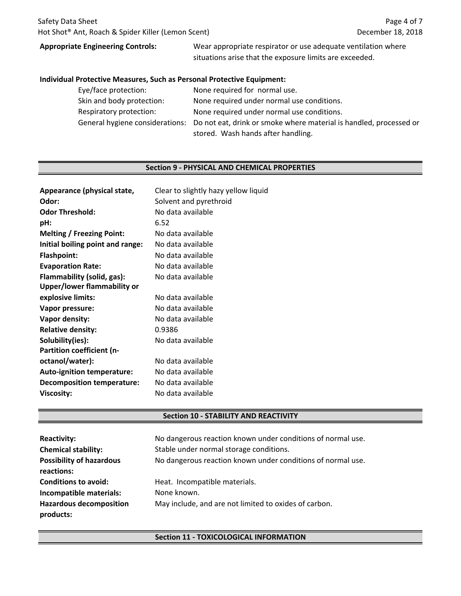# **Appropriate Engineering Controls:**

Wear appropriate respirator or use adequate ventilation where situations arise that the exposure limits are exceeded.

#### **Individual Protective Measures, Such as Personal Protective Equipment:**

| Eye/face protection:      | None required for normal use.                                                                      |
|---------------------------|----------------------------------------------------------------------------------------------------|
| Skin and body protection: | None required under normal use conditions.                                                         |
| Respiratory protection:   | None required under normal use conditions.                                                         |
|                           | General hygiene considerations: Do not eat, drink or smoke where material is handled, processed or |
|                           | stored. Wash hands after handling.                                                                 |

#### **Section 9 - PHYSICAL AND CHEMICAL PROPERTIES**

| Clear to slightly hazy yellow liquid |
|--------------------------------------|
| Solvent and pyrethroid               |
| No data available                    |
| 6.52                                 |
| No data available                    |
| No data available                    |
| No data available                    |
| No data available                    |
| No data available                    |
|                                      |
| No data available                    |
| No data available                    |
| No data available                    |
| 0.9386                               |
| No data available                    |
|                                      |
| No data available                    |
| No data available                    |
| No data available                    |
| No data available                    |
|                                      |

### **Section 10 - STABILITY AND REACTIVITY**

| <b>Reactivity:</b><br><b>Chemical stability:</b><br><b>Possibility of hazardous</b><br>reactions: | No dangerous reaction known under conditions of normal use.<br>Stable under normal storage conditions.<br>No dangerous reaction known under conditions of normal use. |
|---------------------------------------------------------------------------------------------------|-----------------------------------------------------------------------------------------------------------------------------------------------------------------------|
| <b>Conditions to avoid:</b>                                                                       | Heat. Incompatible materials.                                                                                                                                         |
| Incompatible materials:                                                                           | None known.                                                                                                                                                           |
| <b>Hazardous decomposition</b><br>products:                                                       | May include, and are not limited to oxides of carbon.                                                                                                                 |

### **Section 11 - TOXICOLOGICAL INFORMATION**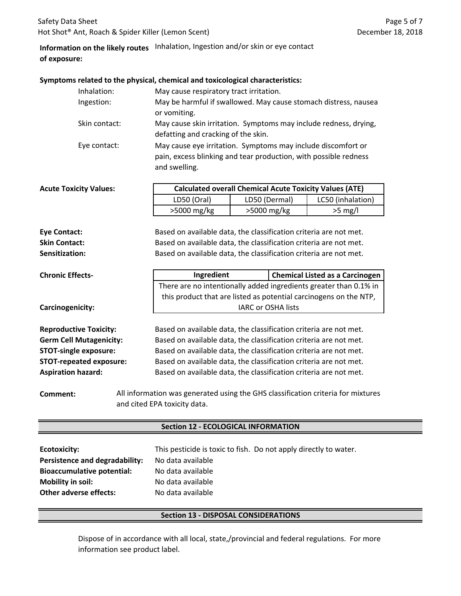# **Information on the likely routes** Inhalation, Ingestion and/or skin or eye contact **of exposure:**

#### **Symptoms related to the physical, chemical and toxicological characteristics:**

| Inhalation:   | May cause respiratory tract irritation.                                                                                                           |
|---------------|---------------------------------------------------------------------------------------------------------------------------------------------------|
| Ingestion:    | May be harmful if swallowed. May cause stomach distress, nausea                                                                                   |
|               | or vomiting.                                                                                                                                      |
| Skin contact: | May cause skin irritation. Symptoms may include redness, drying,                                                                                  |
|               | defatting and cracking of the skin.                                                                                                               |
| Eye contact:  | May cause eye irritation. Symptoms may include discomfort or<br>pain, excess blinking and tear production, with possible redness<br>and swelling. |

| <b>Acute Toxicity Values:</b> | <b>Calculated overall Chemical Acute Toxicity Values (ATE)</b> |               |                   |
|-------------------------------|----------------------------------------------------------------|---------------|-------------------|
|                               | LD50 (Oral)                                                    | LD50 (Dermal) | LC50 (inhalation) |
|                               | $>5000$ mg/kg                                                  | $>5000$ mg/kg | $>5$ mg/l         |
|                               |                                                                |               |                   |

**Sensitization:** Based on available data, the classification criteria are not met. **Eye Contact:** Based on available data, the classification criteria are not met. **Skin Contact:** Based on available data, the classification criteria are not met.

| <b>Chronic Effects-</b> | Ingredient                                                        | <b>Chemical Listed as a Carcinogen</b>                            |
|-------------------------|-------------------------------------------------------------------|-------------------------------------------------------------------|
|                         | There are no intentionally added ingredients greater than 0.1% in |                                                                   |
|                         |                                                                   | this product that are listed as potential carcinogens on the NTP, |
| Carcinogenicity:        |                                                                   | <b>IARC or OSHA lists</b>                                         |
|                         |                                                                   |                                                                   |

**Reproductive Toxicity: Germ Cell Mutagenicity: STOT-single exposure: STOT-repeated exposure: Aspiration hazard:**

Based on available data, the classification criteria are not met. Based on available data, the classification criteria are not met. Based on available data, the classification criteria are not met. Based on available data, the classification criteria are not met. Based on available data, the classification criteria are not met.

**Comment:** All information was generated using the GHS classification criteria for mixtures and cited EPA toxicity data.

#### **Section 12 - ECOLOGICAL INFORMATION**

| Ecotoxicity:                      | This pesticide is toxic to fish. Do not apply directly to water. |
|-----------------------------------|------------------------------------------------------------------|
| Persistence and degradability:    | No data available                                                |
| <b>Bioaccumulative potential:</b> | No data available                                                |
| <b>Mobility in soil:</b>          | No data available                                                |
| <b>Other adverse effects:</b>     | No data available                                                |

## **Section 13 - DISPOSAL CONSIDERATIONS**

Dispose of in accordance with all local, state,/provincial and federal regulations. For more information see product label.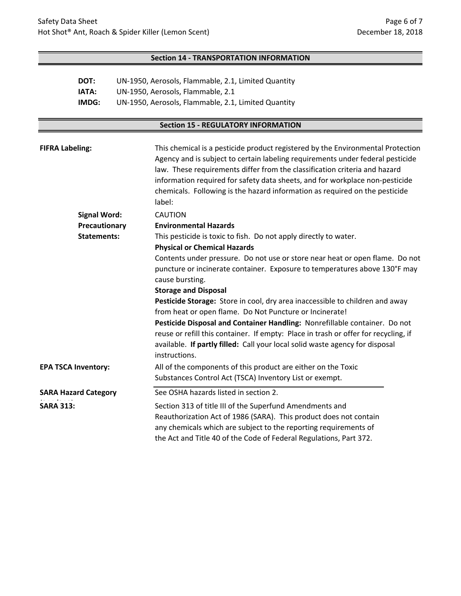## **Section 14 - TRANSPORTATION INFORMATION**

| DOT:  | UN-1950, Aerosols, Flammable, 2.1, Limited Quantity |
|-------|-----------------------------------------------------|
| IATA: | UN-1950, Aerosols, Flammable, 2.1                   |
| IMDG: | UN-1950, Aerosols, Flammable, 2.1, Limited Quantity |

# **Section 15 - REGULATORY INFORMATION**

| <b>FIFRA Labeling:</b>     |                                                                  | This chemical is a pesticide product registered by the Environmental Protection<br>Agency and is subject to certain labeling requirements under federal pesticide<br>law. These requirements differ from the classification criteria and hazard<br>information required for safety data sheets, and for workplace non-pesticide<br>chemicals. Following is the hazard information as required on the pesticide<br>label: |
|----------------------------|------------------------------------------------------------------|--------------------------------------------------------------------------------------------------------------------------------------------------------------------------------------------------------------------------------------------------------------------------------------------------------------------------------------------------------------------------------------------------------------------------|
|                            | <b>Signal Word:</b>                                              | <b>CAUTION</b>                                                                                                                                                                                                                                                                                                                                                                                                           |
|                            | Precautionary                                                    | <b>Environmental Hazards</b>                                                                                                                                                                                                                                                                                                                                                                                             |
| <b>Statements:</b>         | This pesticide is toxic to fish. Do not apply directly to water. |                                                                                                                                                                                                                                                                                                                                                                                                                          |
|                            |                                                                  | <b>Physical or Chemical Hazards</b>                                                                                                                                                                                                                                                                                                                                                                                      |
|                            |                                                                  | Contents under pressure. Do not use or store near heat or open flame. Do not                                                                                                                                                                                                                                                                                                                                             |
|                            |                                                                  | puncture or incinerate container. Exposure to temperatures above 130°F may                                                                                                                                                                                                                                                                                                                                               |
|                            | cause bursting.                                                  |                                                                                                                                                                                                                                                                                                                                                                                                                          |
|                            |                                                                  | <b>Storage and Disposal</b>                                                                                                                                                                                                                                                                                                                                                                                              |
|                            |                                                                  | Pesticide Storage: Store in cool, dry area inaccessible to children and away                                                                                                                                                                                                                                                                                                                                             |
|                            |                                                                  | from heat or open flame. Do Not Puncture or Incinerate!                                                                                                                                                                                                                                                                                                                                                                  |
|                            |                                                                  | Pesticide Disposal and Container Handling: Nonrefillable container. Do not                                                                                                                                                                                                                                                                                                                                               |
|                            |                                                                  | reuse or refill this container. If empty: Place in trash or offer for recycling, if                                                                                                                                                                                                                                                                                                                                      |
|                            |                                                                  | available. If partly filled: Call your local solid waste agency for disposal<br>instructions.                                                                                                                                                                                                                                                                                                                            |
| <b>EPA TSCA Inventory:</b> |                                                                  | All of the components of this product are either on the Toxic                                                                                                                                                                                                                                                                                                                                                            |
|                            |                                                                  | Substances Control Act (TSCA) Inventory List or exempt.                                                                                                                                                                                                                                                                                                                                                                  |
|                            | <b>SARA Hazard Category</b>                                      | See OSHA hazards listed in section 2.                                                                                                                                                                                                                                                                                                                                                                                    |
| <b>SARA 313:</b>           |                                                                  | Section 313 of title III of the Superfund Amendments and<br>Reauthorization Act of 1986 (SARA). This product does not contain<br>any chemicals which are subject to the reporting requirements of<br>the Act and Title 40 of the Code of Federal Regulations, Part 372.                                                                                                                                                  |